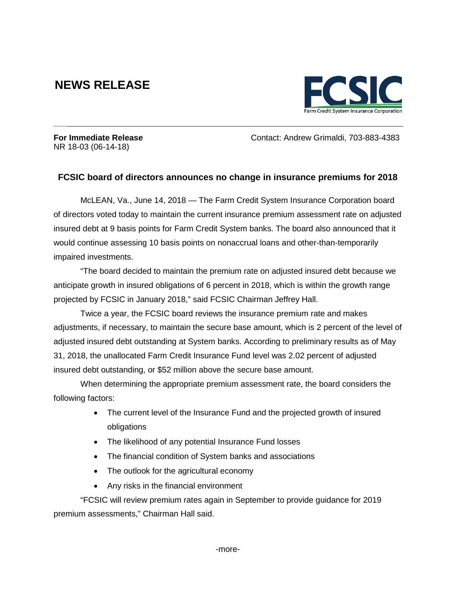## **NEWS RELEASE**



NR 18-03 (06-14-18)

**For Immediate Release Contact: Andrew Grimaldi, 703-883-4383** 

## **FCSIC board of directors announces no change in insurance premiums for 2018**

McLEAN, Va., June 14, 2018 — The Farm Credit System Insurance Corporation board of directors voted today to maintain the current insurance premium assessment rate on adjusted insured debt at 9 basis points for Farm Credit System banks. The board also announced that it would continue assessing 10 basis points on nonaccrual loans and other-than-temporarily impaired investments.

"The board decided to maintain the premium rate on adjusted insured debt because we anticipate growth in insured obligations of 6 percent in 2018, which is within the growth range projected by FCSIC in January 2018," said FCSIC Chairman Jeffrey Hall.

Twice a year, the FCSIC board reviews the insurance premium rate and makes adjustments, if necessary, to maintain the secure base amount, which is 2 percent of the level of adjusted insured debt outstanding at System banks. According to preliminary results as of May 31, 2018, the unallocated Farm Credit Insurance Fund level was 2.02 percent of adjusted insured debt outstanding, or \$52 million above the secure base amount.

When determining the appropriate premium assessment rate, the board considers the following factors:

- The current level of the Insurance Fund and the projected growth of insured obligations
- The likelihood of any potential Insurance Fund losses
- The financial condition of System banks and associations
- The outlook for the agricultural economy
- Any risks in the financial environment

"FCSIC will review premium rates again in September to provide guidance for 2019 premium assessments," Chairman Hall said.